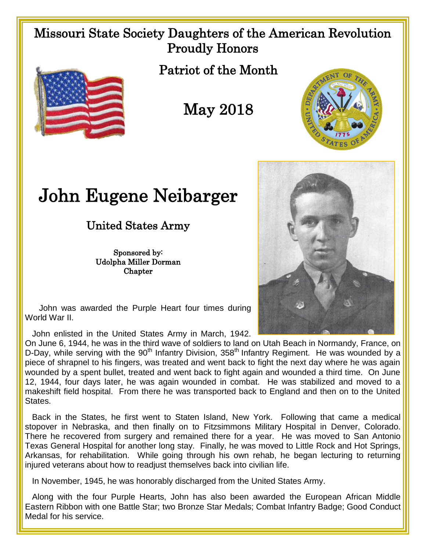## Missouri State Society Daughters of the American Revolution Proudly Honors



Patriot of the Month

May 2018



## John Eugene Neibarger

## United States Army

Sponsored by: Udolpha Miller Dorman **Chapter** 



 John was awarded the Purple Heart four times during World War II.

John enlisted in the United States Army in March, 1942.

On June 6, 1944, he was in the third wave of soldiers to land on Utah Beach in Normandy, France, on D-Day, while serving with the  $90<sup>th</sup>$  Infantry Division,  $358<sup>th</sup>$  Infantry Regiment. He was wounded by a piece of shrapnel to his fingers, was treated and went back to fight the next day where he was again wounded by a spent bullet, treated and went back to fight again and wounded a third time. On June 12, 1944, four days later, he was again wounded in combat. He was stabilized and moved to a makeshift field hospital. From there he was transported back to England and then on to the United States.

 Back in the States, he first went to Staten Island, New York. Following that came a medical stopover in Nebraska, and then finally on to Fitzsimmons Military Hospital in Denver, Colorado. There he recovered from surgery and remained there for a year. He was moved to San Antonio Texas General Hospital for another long stay. Finally, he was moved to Little Rock and Hot Springs, Arkansas, for rehabilitation. While going through his own rehab, he began lecturing to returning injured veterans about how to readjust themselves back into civilian life.

In November, 1945, he was honorably discharged from the United States Army.

 Along with the four Purple Hearts, John has also been awarded the European African Middle Eastern Ribbon with one Battle Star; two Bronze Star Medals; Combat Infantry Badge; Good Conduct Medal for his service.